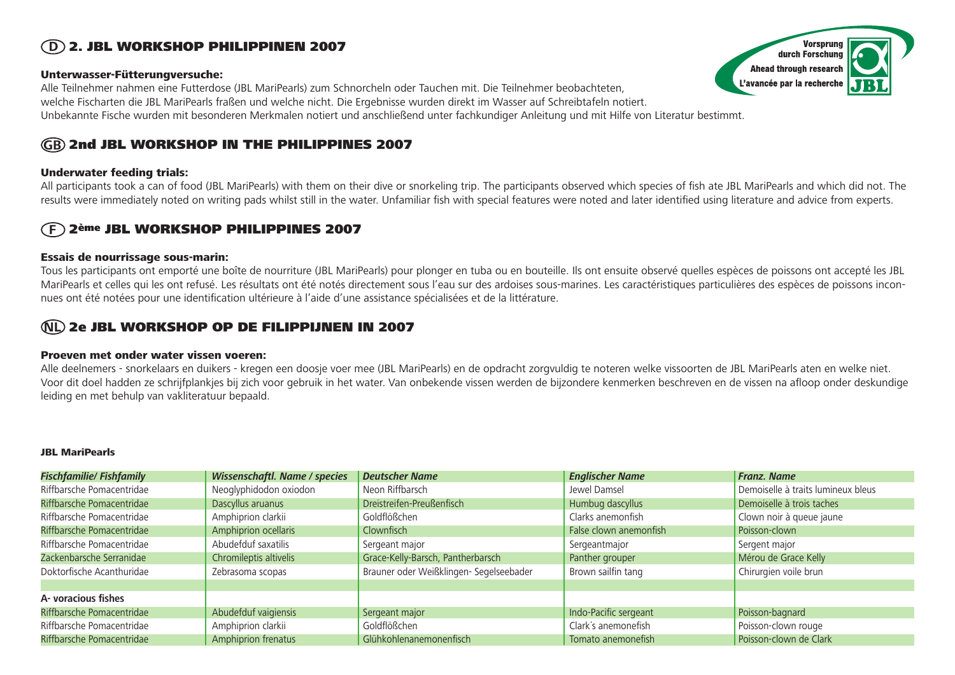# 2. JBL WORKSHOP PHILIPPINEN 2007 **D**

## Unterwasser-Fütterungversuche:

Alle Teilnehmer nahmen eine Futterdose (JBL MariPearls) zum Schnorcheln oder Tauchen mit. Die Teilnehmer beobachteten, welche Fischarten die JBL MariPearls fraßen und welche nicht. Die Ergebnisse wurden direkt im Wasser auf Schreibtafeln notiert. Unbekannte Fische wurden mit besonderen Merkmalen notiert und anschließend unter fachkundiger Anleitung und mit Hilfe von Literatur bestimmt.

# **GB** 2nd JBL WORKSHOP IN THE PHILIPPINES 2007

## Underwater feeding trials:

All participants took a can of food (JBL MariPearls) with them on their dive or snorkeling trip. The participants observed which species of fish ate JBL MariPearls and which did not. The results were immediately noted on writing pads whilst still in the water. Unfamiliar fish with special features were noted and later identified using literature and advice from experts.

#### **F** 2ème JBL WORKSHOP PHILIPPINES 2007

## Essais de nourrissage sous-marin:

Tous les participants ont emporté une boîte de nourriture (JBL MariPearls) pour plonger en tuba ou en bouteille. Ils ont ensuite observé quelles espèces de poissons ont accepté les JBL MariPearls et celles qui les ont refusé. Les résultats ont été notés directement sous l'eau sur des ardoises sous-marines. Les caractéristiques particulières des espèces de poissons inconnues ont été notées pour une identification ultérieure à l'aide d'une assistance spécialisées et de la littérature.

# **NL** 2e JBL WORKSHOP OP DE FILIPPIJNEN IN 2007

## Proeven met onder water vissen voeren:

Alle deelnemers - snorkelaars en duikers - kregen een doosje voer mee (JBL MariPearls) en de opdracht zorgvuldig te noteren welke vissoorten de JBL MariPearls aten en welke niet. Voor dit doel hadden ze schrijfplankjes bij zich voor gebruik in het water. Van onbekende vissen werden de bijzondere kenmerken beschreven en de vissen na afloop onder deskundige leiding en met behulp van vakliteratuur bepaald.

## JBL MariPearls

| <b>Fischfamilie/ Fishfamily</b> | Wissenschaftl. Name / species | <b>Deutscher Name</b>                   | <b>Englischer Name</b> | <b>Franz. Name</b>                 |
|---------------------------------|-------------------------------|-----------------------------------------|------------------------|------------------------------------|
| Riffbarsche Pomacentridae       | Neoglyphidodon oxiodon        | Neon Riffbarsch                         | Jewel Damsel           | Demoiselle à traits lumineux bleus |
| Riffbarsche Pomacentridae       | Dascyllus aruanus             | Dreistreifen-Preußenfisch               | Humbug dascyllus       | Demoiselle à trois taches          |
| Riffbarsche Pomacentridae       | Amphiprion clarkii            | Goldflößchen                            | Clarks anemonfish      | Clown noir à queue jaune           |
| Riffbarsche Pomacentridae       | Amphiprion ocellaris          | Clownfisch                              | False clown anemonfish | Poisson-clown                      |
| Riffbarsche Pomacentridae       | Abudefduf saxatilis           | Sergeant major                          | Sergeantmajor          | Sergent major                      |
| Zackenbarsche Serranidae        | Chromileptis altivelis        | Grace-Kelly-Barsch, Pantherbarsch       | Panther grouper        | Mérou de Grace Kelly               |
| Doktorfische Acanthuridae       | Zebrasoma scopas              | Brauner oder Weißklingen- Segelseebader | Brown sailfin tang     | Chirurgien voile brun              |
|                                 |                               |                                         |                        |                                    |
| A-voracious fishes              |                               |                                         |                        |                                    |
| Riffbarsche Pomacentridae       | Abudefduf vaigiensis          | Sergeant major                          | Indo-Pacific sergeant  | Poisson-bagnard                    |
| Riffbarsche Pomacentridae       | Amphiprion clarkii            | Goldflößchen                            | Clark's anemonefish    | Poisson-clown rouge                |
| Riffbarsche Pomacentridae       | Amphiprion frenatus           | Glühkohlenanemonenfisch                 | Tomato anemonefish     | Poisson-clown de Clark             |

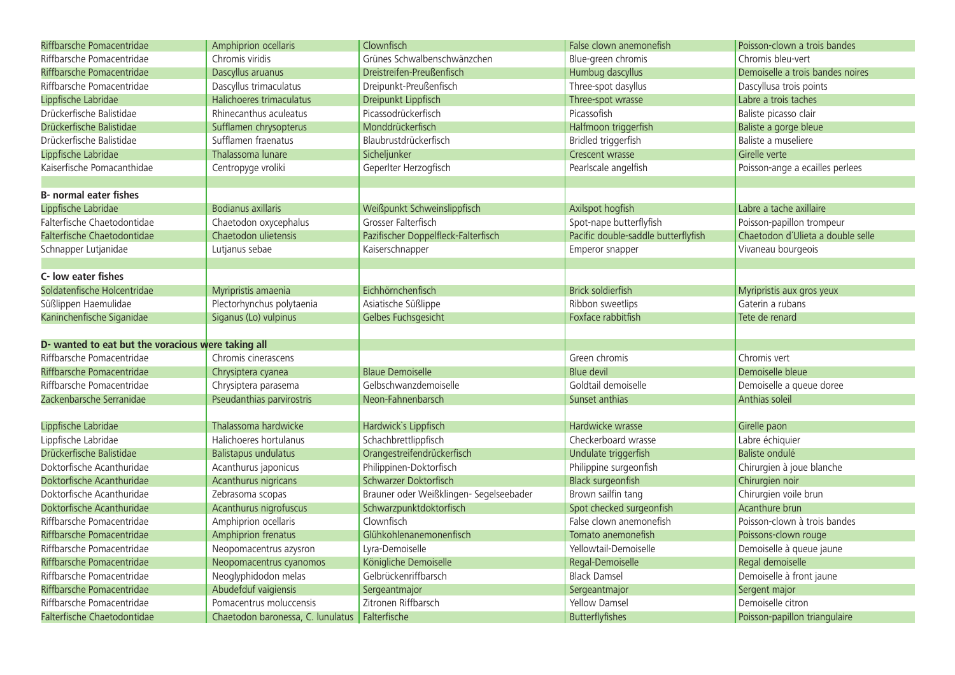| Riffbarsche Pomacentridae                          | Amphiprion ocellaris                             | Clownfisch                              | False clown anemonefish             | Poisson-clown a trois bandes      |
|----------------------------------------------------|--------------------------------------------------|-----------------------------------------|-------------------------------------|-----------------------------------|
| Riffbarsche Pomacentridae                          | Chromis viridis                                  | Grünes Schwalbenschwänzchen             | Blue-green chromis                  | Chromis bleu-vert                 |
| Riffbarsche Pomacentridae                          | Dascyllus aruanus                                | Dreistreifen-Preußenfisch               | Humbug dascyllus                    | Demoiselle a trois bandes noires  |
| Riffbarsche Pomacentridae                          | Dascyllus trimaculatus                           | Dreipunkt-Preußenfisch                  | Three-spot dasyllus                 | Dascyllusa trois points           |
| Lippfische Labridae                                | Halichoeres trimaculatus                         | Dreipunkt Lippfisch                     | Three-spot wrasse                   | Labre a trois taches              |
| Drückerfische Balistidae                           | Rhinecanthus aculeatus                           | Picassodrückerfisch                     | Picassofish                         | Baliste picasso clair             |
| Drückerfische Balistidae                           | Sufflamen chrysopterus                           | Monddrückerfisch                        | Halfmoon triggerfish                | Baliste a gorge bleue             |
| Drückerfische Balistidae                           | Sufflamen fraenatus                              | Blaubrustdrückerfisch                   | Bridled triggerfish                 | Baliste a museliere               |
| Lippfische Labridae                                | Thalassoma lunare                                | Sicheljunker                            | Crescent wrasse                     | Girelle verte                     |
| Kaiserfische Pomacanthidae                         | Centropyge vroliki                               | Geperlter Herzogfisch                   | Pearlscale angelfish                | Poisson-ange a ecailles perlees   |
|                                                    |                                                  |                                         |                                     |                                   |
| <b>B-</b> normal eater fishes                      |                                                  |                                         |                                     |                                   |
| Lippfische Labridae                                | <b>Bodianus axillaris</b>                        | Weißpunkt Schweinslippfisch             | Axilspot hogfish                    | Labre a tache axillaire           |
| Falterfische Chaetodontidae                        | Chaetodon oxycephalus                            | Grosser Falterfisch                     | Spot-nape butterflyfish             | Poisson-papillon trompeur         |
| Falterfische Chaetodontidae                        | Chaetodon ulietensis                             | Pazifischer Doppelfleck-Falterfisch     | Pacific double-saddle butterflyfish | Chaetodon d'Ulieta a double selle |
| Schnapper Lutjanidae                               | Lutjanus sebae                                   | Kaiserschnapper                         | Emperor snapper                     | Vivaneau bourgeois                |
|                                                    |                                                  |                                         |                                     |                                   |
| C- low eater fishes                                |                                                  |                                         |                                     |                                   |
| Soldatenfische Holcentridae                        | Myripristis amaenia                              | Eichhörnchenfisch                       | <b>Brick soldierfish</b>            | Myripristis aux gros yeux         |
| Süßlippen Haemulidae                               | Plectorhynchus polytaenia                        | Asiatische Süßlippe                     | Ribbon sweetlips                    | Gaterin a rubans                  |
| Kaninchenfische Siganidae                          | Siganus (Lo) vulpinus                            | Gelbes Fuchsgesicht                     | Foxface rabbitfish                  | Tete de renard                    |
|                                                    |                                                  |                                         |                                     |                                   |
| D- wanted to eat but the voracious were taking all |                                                  |                                         |                                     |                                   |
| Riffbarsche Pomacentridae                          | Chromis cinerascens                              |                                         | Green chromis                       | Chromis vert                      |
| Riffbarsche Pomacentridae                          | Chrysiptera cyanea                               | <b>Blaue Demoiselle</b>                 | Blue devil                          | Demoiselle bleue                  |
| Riffbarsche Pomacentridae                          | Chrysiptera parasema                             | Gelbschwanzdemoiselle                   | Goldtail demoiselle                 | Demoiselle a queue doree          |
| Zackenbarsche Serranidae                           | Pseudanthias parvirostris                        | Neon-Fahnenbarsch                       | Sunset anthias                      | Anthias soleil                    |
|                                                    |                                                  |                                         |                                     |                                   |
| Lippfische Labridae                                | Thalassoma hardwicke                             | Hardwick's Lippfisch                    | Hardwicke wrasse                    | Girelle paon                      |
| Lippfische Labridae                                | Halichoeres hortulanus                           | Schachbrettlippfisch                    | Checkerboard wrasse                 | Labre échiquier                   |
| Drückerfische Balistidae                           | <b>Balistapus undulatus</b>                      | Orangestreifendrückerfisch              | Undulate triggerfish                | Baliste ondulé                    |
| Doktorfische Acanthuridae                          | Acanthurus japonicus                             | Philippinen-Doktorfisch                 | Philippine surgeonfish              | Chirurgien à joue blanche         |
| Doktorfische Acanthuridae                          | Acanthurus nigricans                             | Schwarzer Doktorfisch                   | <b>Black surgeonfish</b>            | Chirurgien noir                   |
| Doktorfische Acanthuridae                          | Zebrasoma scopas                                 | Brauner oder Weißklingen- Segelseebader | Brown sailfin tang                  | Chirurgien voile brun             |
| Doktorfische Acanthuridae                          | Acanthurus nigrofuscus                           | Schwarzpunktdoktorfisch                 | Spot checked surgeonfish            | Acanthure brun                    |
| Riffbarsche Pomacentridae                          | Amphiprion ocellaris                             | Clownfisch                              | False clown anemonefish             | Poisson-clown à trois bandes      |
| Riffbarsche Pomacentridae                          | Amphiprion frenatus                              | Glühkohlenanemonenfisch                 | Tomato anemonefish                  | Poissons-clown rouge              |
| Riffbarsche Pomacentridae                          | Neopomacentrus azysron                           | Lyra-Demoiselle                         | Yellowtail-Demoiselle               | Demoiselle à queue jaune          |
| Riffbarsche Pomacentridae                          | Neopomacentrus cyanomos                          | Königliche Demoiselle                   | Regal-Demoiselle                    | Regal demoiselle                  |
| Riffbarsche Pomacentridae                          | Neoglyphidodon melas                             | Gelbrückenriffbarsch                    | <b>Black Damsel</b>                 | Demoiselle à front jaune          |
| Riffbarsche Pomacentridae                          | Abudefduf vaigiensis                             | Sergeantmajor                           | Sergeantmajor                       | Sergent major                     |
| Riffbarsche Pomacentridae                          | Pomacentrus moluccensis                          | Zitronen Riffbarsch                     | <b>Yellow Damsel</b>                | Demoiselle citron                 |
| Falterfische Chaetodontidae                        | Chaetodon baronessa, C. lunulatus   Falterfische |                                         | Butterflyfishes                     | Poisson-papillon triangulaire     |